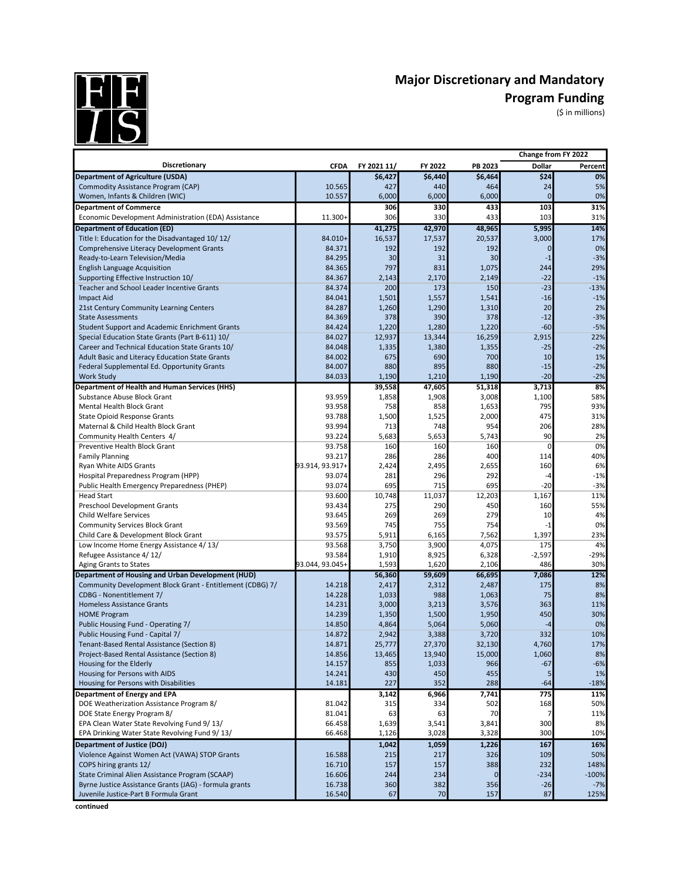

## Major Discretionary and Mandatory<br>Program Funding<br>(\$ in millions) **Program Funding**

(\$ in millions)

|                                                           |                 |             |         |             | Change from FY 2022 |         |
|-----------------------------------------------------------|-----------------|-------------|---------|-------------|---------------------|---------|
| Discretionary                                             | <b>CFDA</b>     | FY 2021 11/ | FY 2022 | PB 2023     | Dollar              | Percent |
| <b>Department of Agriculture (USDA)</b>                   |                 | \$6,427     | \$6,440 | \$6,464     | \$24                | 0%      |
| Commodity Assistance Program (CAP)                        | 10.565          | 427         | 440     | 464         | 24                  | 5%      |
| Women, Infants & Children (WIC)                           | 10.557          | 6,000       | 6,000   | 6,000       | $\overline{0}$      | 0%      |
| <b>Department of Commerce</b>                             |                 | 306         | 330     | 433         | 103                 | 31%     |
| Economic Development Administration (EDA) Assistance      | 11.300+         | 306         | 330     | 433         | 103                 | 31%     |
| <b>Department of Education (ED)</b>                       |                 | 41,275      | 42,970  | 48,965      | 5,995               | 14%     |
| Title I: Education for the Disadvantaged 10/12/           | 84.010+         | 16,537      | 17,537  | 20,537      | 3,000               | 17%     |
| Comprehensive Literacy Development Grants                 | 84.371          | 192         | 192     | 192         | $\mathbf{0}$        | 0%      |
| Ready-to-Learn Television/Media                           | 84.295          | 30          | 31      | 30          | $-1$                | $-3%$   |
| <b>English Language Acquisition</b>                       | 84.365          | 797         | 831     | 1,075       | 244                 | 29%     |
| Supporting Effective Instruction 10/                      | 84.367          | 2,143       | 2,170   | 2,149       | $-22$               | $-1%$   |
| Teacher and School Leader Incentive Grants                | 84.374          | 200         | 173     | 150         | $-23$               | $-13%$  |
| <b>Impact Aid</b>                                         | 84.041          | 1,501       | 1,557   | 1,541       | $-16$               | $-1%$   |
| 21st Century Community Learning Centers                   | 84.287          | 1,260       | 1,290   | 1,310       | 20                  | 2%      |
| <b>State Assessments</b>                                  | 84.369          | 378         | 390     | 378         | $-12$               | $-3%$   |
| <b>Student Support and Academic Enrichment Grants</b>     | 84.424          | 1,220       | 1,280   | 1,220       | $-60$               | $-5%$   |
| Special Education State Grants (Part B-611) 10/           | 84.027          | 12,937      | 13,344  | 16,259      | 2,915               | 22%     |
| Career and Technical Education State Grants 10/           | 84.048          | 1,335       | 1,380   | 1,355       | $-25$               | $-2%$   |
| Adult Basic and Literacy Education State Grants           | 84.002          | 675         | 690     | 700         | 10                  | 1%      |
| Federal Supplemental Ed. Opportunity Grants               | 84.007          | 880         | 895     | 880         | $-15$               | $-2%$   |
| <b>Work Study</b>                                         | 84.033          | 1,190       | 1,210   | 1,190       | $-20$               | $-2%$   |
| Department of Health and Human Services (HHS)             |                 | 39,558      | 47,605  | 51,318      | 3,713               | 8%      |
| Substance Abuse Block Grant                               | 93.959          | 1,858       | 1,908   | 3,008       | 1,100               | 58%     |
| Mental Health Block Grant                                 | 93.958          | 758         | 858     | 1,653       | 795                 | 93%     |
| <b>State Opioid Response Grants</b>                       | 93.788          | 1,500       | 1,525   | 2,000       | 475                 | 31%     |
| Maternal & Child Health Block Grant                       | 93.994          | 713         | 748     | 954         | 206                 | 28%     |
| Community Health Centers 4/                               | 93.224          | 5,683       | 5,653   | 5,743       | 90                  | 2%      |
| Preventive Health Block Grant                             | 93.758          | 160         | 160     | 160         | $\mathbf 0$         | 0%      |
| <b>Family Planning</b>                                    | 93.217          | 286         | 286     | 400         | 114                 | 40%     |
| Ryan White AIDS Grants                                    | 93.914, 93.917+ | 2,424       | 2,495   | 2,655       | 160                 | 6%      |
| Hospital Preparedness Program (HPP)                       | 93.074          | 281         | 296     | 292         | $-4$                | $-1%$   |
| Public Health Emergency Preparedness (PHEP)               | 93.074          | 695         | 715     | 695         | $-20$               | $-3%$   |
| <b>Head Start</b>                                         | 93.600          | 10,748      | 11,037  | 12,203      | 1,167               | 11%     |
| Preschool Development Grants                              | 93.434          | 275         | 290     | 450         | 160                 | 55%     |
| <b>Child Welfare Services</b>                             | 93.645          | 269         | 269     | 279         | 10                  | 4%      |
| <b>Community Services Block Grant</b>                     | 93.569          | 745         | 755     | 754         | $-1$                | 0%      |
| Child Care & Development Block Grant                      | 93.575          | 5,911       | 6,165   | 7,562       | 1,397               | 23%     |
| Low Income Home Energy Assistance 4/13/                   | 93.568          | 3,750       | 3,900   | 4,075       | 175                 | 4%      |
| Refugee Assistance 4/12/                                  | 93.584          | 1,910       | 8,925   | 6,328       | $-2,597$            | $-29%$  |
| Aging Grants to States                                    | 93.044, 93.045- | 1,593       | 1,620   | 2,106       | 486                 | 30%     |
| Department of Housing and Urban Development (HUD)         |                 | 56,360      | 59,609  | 66,695      | 7,086               | 12%     |
| Community Development Block Grant - Entitlement (CDBG) 7/ | 14.218          | 2,417       | 2,312   | 2,487       | 175                 | 8%      |
| CDBG - Nonentitlement 7/                                  | 14.228          | 1,033       | 988     | 1,063       | 75                  | 8%      |
| <b>Homeless Assistance Grants</b>                         | 14.231          | 3,000       | 3,213   | 3,576       | 363                 | 11%     |
| <b>HOME Program</b>                                       | 14.239          | 1,350       | 1,500   | 1,950       | 450                 | 30%     |
| Public Housing Fund - Operating 7/                        | 14.850          | 4,864       | 5,064   | 5,060       | -4                  | 0%      |
| Public Housing Fund - Capital 7/                          | 14.872          | 2,942       | 3,388   | 3,720       | 332                 | 10%     |
| Tenant-Based Rental Assistance (Section 8)                | 14.871          | 25,777      | 27,370  | 32,130      | 4,760               | 17%     |
| Project-Based Rental Assistance (Section 8)               | 14.856          | 13,465      | 13,940  | 15,000      | 1,060               | 8%      |
| Housing for the Elderly                                   | 14.157          | 855         | 1,033   | 966         | $-67$               | $-6%$   |
| Housing for Persons with AIDS                             | 14.241          | 430         | 450     | 455         |                     | 1%      |
| Housing for Persons with Disabilities                     | 14.181          | 227         | 352     | 288         | $-64$               | $-18%$  |
| Department of Energy and EPA                              |                 | 3,142       | 6,966   | 7,741       | 775                 | 11%     |
| DOE Weatherization Assistance Program 8/                  | 81.042          | 315         | 334     | 502         | 168                 | 50%     |
| DOE State Energy Program 8/                               | 81.041          | 63          | 63      | 70          | 7                   | 11%     |
| EPA Clean Water State Revolving Fund 9/13/                | 66.458          | 1,639       | 3,541   | 3,841       | 300                 | 8%      |
| EPA Drinking Water State Revolving Fund 9/13/             | 66.468          | 1,126       | 3,028   | 3,328       | 300                 | 10%     |
| (Department of Justice (DOJ                               |                 | 1,042       | 1,059   | 1,226       | 167                 | 16%     |
| Violence Against Women Act (VAWA) STOP Grants             | 16.588          | 215         | 217     | 326         | 109                 | 50%     |
| COPS hiring grants 12/                                    | 16.710          | 157         | 157     | 388         | 232                 | 148%    |
| State Criminal Alien Assistance Program (SCAAP)           | 16.606          | 244         | 234     | $\mathbf 0$ | $-234$              | $-100%$ |
| Byrne Justice Assistance Grants (JAG) - formula grants    | 16.738          | 360         | 382     | 356         | $-26$               | $-7%$   |
| Juvenile Justice-Part B Formula Grant                     | 16.540          | 67          | 70      | 157         | 87                  | 125%    |

**continued**